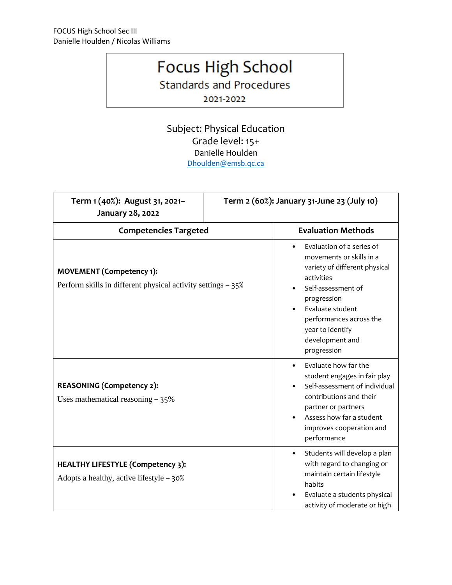## Focus High School

**Standards and Procedures** 

2021-2022

Subject: Physical Education Grade level: 15+ Danielle Houlden [Dhoulden@emsb.qc.ca](mailto:Dhoulden@emsb.qc.ca)

| Term 1 (40%): August 31, 2021-<br>January 28, 2022                                              | Term 2 (60%): January 31-June 23 (July 10) |                                                                                                                                                                                                                                                             |  |
|-------------------------------------------------------------------------------------------------|--------------------------------------------|-------------------------------------------------------------------------------------------------------------------------------------------------------------------------------------------------------------------------------------------------------------|--|
| <b>Competencies Targeted</b>                                                                    |                                            | <b>Evaluation Methods</b>                                                                                                                                                                                                                                   |  |
| <b>MOVEMENT</b> (Competency 1):<br>Perform skills in different physical activity settings – 35% |                                            | Evaluation of a series of<br>$\bullet$<br>movements or skills in a<br>variety of different physical<br>activities<br>Self-assessment of<br>progression<br>Evaluate student<br>performances across the<br>year to identify<br>development and<br>progression |  |
| <b>REASONING (Competency 2):</b><br>Uses mathematical reasoning $-35\%$                         |                                            | Evaluate how far the<br>$\bullet$<br>student engages in fair play<br>Self-assessment of individual<br>contributions and their<br>partner or partners<br>Assess how far a student<br>improves cooperation and<br>performance                                 |  |
| <b>HEALTHY LIFESTYLE (Competency 3):</b><br>Adopts a healthy, active lifestyle - 30%            |                                            | Students will develop a plan<br>$\bullet$<br>with regard to changing or<br>maintain certain lifestyle<br>habits<br>Evaluate a students physical<br>activity of moderate or high                                                                             |  |